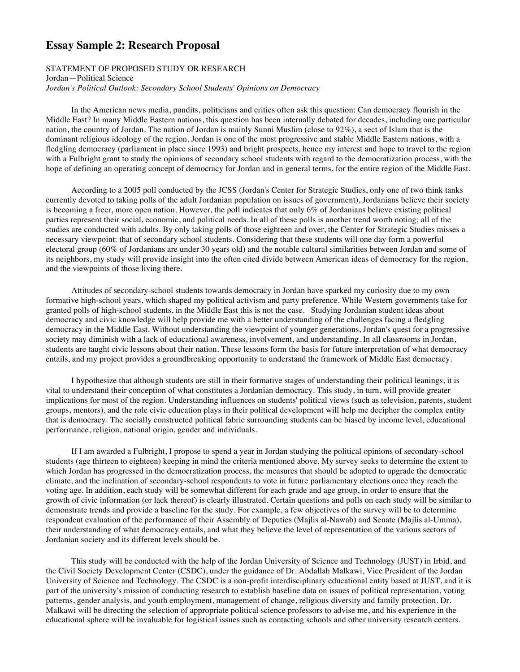## **Essay Sample 2: Research Proposal**

## STATEMENT OF PROPOSED STUDY OR RESEARCH Jordan—Political Science *Jordan's Political Outlook: Secondary School Students' Opinions on Democracy*

In the American news media, pundits, politicians and critics often ask this question: Can democracy flourish in the Middle East? In many Middle Eastern nations, this question has been internally debated for decades, including one particular nation, the country of Jordan. The nation of Jordan is mainly Sunni Muslim (close to 92%), a sect of Islam that is the dominant religious ideology of the region. Jordan is one of the most progressive and stable Middle Eastern nations, with a fledgling democracy (parliament in place since 1993) and bright prospects, hence my interest and hope to travel to the region with a Fulbright grant to study the opinions of secondary school students with regard to the democratization process, with the hope of defining an operating concept of democracy for Jordan and in general terms, for the entire region of the Middle East.

According to a 2005 poll conducted by the JCSS (Jordan's Center for Strategic Studies, only one of two think tanks currently devoted to taking polls of the adult Jordanian population on issues of government), Jordanians believe their society is becoming a freer, more open nation. However, the poll indicates that only 6% of Jordanians believe existing political parties represent their social, economic, and political needs. In all of these polls is another trend worth noting; all of the studies are conducted with adults. By only taking polls of those eighteen and over, the Center for Strategic Studies misses a necessary viewpoint: that of secondary school students. Considering that these students will one day form a powerful electoral group (60% of Jordanians are under 30 years old) and the notable cultural similarities between Jordan and some of its neighbors, my study will provide insight into the often cited divide between American ideas of democracy for the region, and the viewpoints of those living there.

Attitudes of secondary-school students towards democracy in Jordan have sparked my curiosity due to my own formative high-school years, which shaped my political activism and party preference. While Western governments take for granted polls of high-school students, in the Middle East this is not the case. Studying Jordanian student ideas about democracy and civic knowledge will help provide me with a better understanding of the challenges facing a fledgling democracy in the Middle East. Without understanding the viewpoint of younger generations, Jordan's quest for a progressive society may diminish with a lack of educational awareness, involvement, and understanding. In all classrooms in Jordan, students are taught civic lessons about their nation. These lessons form the basis for future interpretation of what democracy entails, and my project provides a groundbreaking opportunity to understand the framework of Middle East democracy.

I hypothesize that although students are still in their formative stages of understanding their political leanings, it is vital to understand their conception of what constitutes a Jordanian democracy. This study, in turn, will provide greater implications for most of the region. Understanding influences on students' political views (such as television, parents, student groups, mentors), and the role civic education plays in their political development will help me decipher the complex entity that is democracy. The socially constructed political fabric surrounding students can be biased by income level, educational performance, religion, national origin, gender and individuals.

If I am awarded a Fulbright, I propose to spend a year in Jordan studying the political opinions of secondary-school students (age thirteen to eighteen) keeping in mind the criteria mentioned above. My survey seeks to determine the extent to which Jordan has progressed in the democratization process, the measures that should be adopted to upgrade the democratic climate, and the inclination of secondary-school respondents to vote in future parliamentary elections once they reach the voting age. In addition, each study will be somewhat different for each grade and age group, in order to ensure that the growth of civic information (or lack thereof) is clearly illustrated. Certain questions and polls on each study will be similar to demonstrate trends and provide a baseline for the study. For example, a few objectives of the survey will be to determine respondent evaluation of the performance of their Assembly of Deputies (Majlis al-Nawab) and Senate (Majlis al-Umma), their understanding of what democracy entails, and what they believe the level of representation of the various sectors of Jordanian society and its different levels should be.

This study will be conducted with the help of the Jordan University of Science and Technology (JUST) in Irbid, and the Civil Society Development Center (CSDC), under the guidance of Dr. Abdallah Malkawi, Vice President of the Jordan University of Science and Technology. The CSDC is a non-profit interdisciplinary educational entity based at JUST, and it is part of the university's mission of conducting research to establish baseline data on issues of political representation, voting patterns, gender analysis, and youth employment, management of change, religious diversity and family protection. Dr. Malkawi will be directing the selection of appropriate political science professors to advise me, and his experience in the educational sphere will be invaluable for logistical issues such as contacting schools and other university research centers.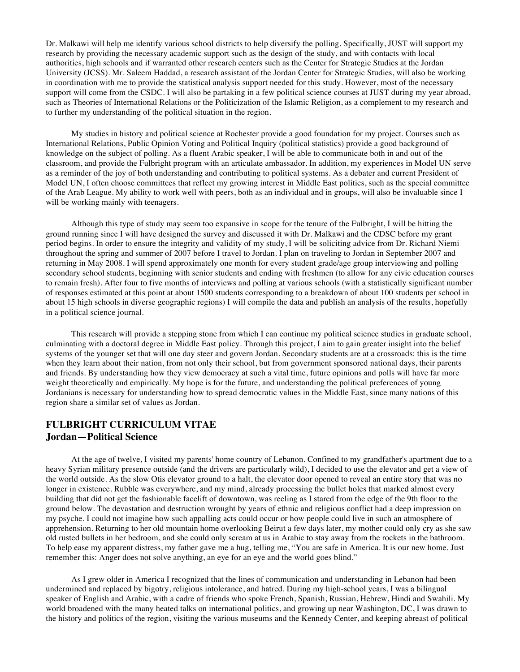Dr. Malkawi will help me identify various school districts to help diversify the polling. Specifically, JUST will support my research by providing the necessary academic support such as the design of the study, and with contacts with local authorities, high schools and if warranted other research centers such as the Center for Strategic Studies at the Jordan University (JCSS). Mr. Saleem Haddad, a research assistant of the Jordan Center for Strategic Studies, will also be working in coordination with me to provide the statistical analysis support needed for this study. However, most of the necessary support will come from the CSDC. I will also be partaking in a few political science courses at JUST during my year abroad, such as Theories of International Relations or the Politicization of the Islamic Religion, as a complement to my research and to further my understanding of the political situation in the region.

My studies in history and political science at Rochester provide a good foundation for my project. Courses such as International Relations, Public Opinion Voting and Political Inquiry (political statistics) provide a good background of knowledge on the subject of polling. As a fluent Arabic speaker, I will be able to communicate both in and out of the classroom, and provide the Fulbright program with an articulate ambassador. In addition, my experiences in Model UN serve as a reminder of the joy of both understanding and contributing to political systems. As a debater and current President of Model UN, I often choose committees that reflect my growing interest in Middle East politics, such as the special committee of the Arab League. My ability to work well with peers, both as an individual and in groups, will also be invaluable since I will be working mainly with teenagers.

Although this type of study may seem too expansive in scope for the tenure of the Fulbright, I will be hitting the ground running since I will have designed the survey and discussed it with Dr. Malkawi and the CDSC before my grant period begins. In order to ensure the integrity and validity of my study, I will be soliciting advice from Dr. Richard Niemi throughout the spring and summer of 2007 before I travel to Jordan. I plan on traveling to Jordan in September 2007 and returning in May 2008. I will spend approximately one month for every student grade/age group interviewing and polling secondary school students, beginning with senior students and ending with freshmen (to allow for any civic education courses to remain fresh). After four to five months of interviews and polling at various schools (with a statistically significant number of responses estimated at this point at about 1500 students corresponding to a breakdown of about 100 students per school in about 15 high schools in diverse geographic regions) I will compile the data and publish an analysis of the results, hopefully in a political science journal.

This research will provide a stepping stone from which I can continue my political science studies in graduate school, culminating with a doctoral degree in Middle East policy. Through this project, I aim to gain greater insight into the belief systems of the younger set that will one day steer and govern Jordan. Secondary students are at a crossroads: this is the time when they learn about their nation, from not only their school, but from government sponsored national days, their parents and friends. By understanding how they view democracy at such a vital time, future opinions and polls will have far more weight theoretically and empirically. My hope is for the future, and understanding the political preferences of young Jordanians is necessary for understanding how to spread democratic values in the Middle East, since many nations of this region share a similar set of values as Jordan.

## **FULBRIGHT CURRICULUM VITAE Jordan—Political Science**

At the age of twelve, I visited my parents' home country of Lebanon. Confined to my grandfather's apartment due to a heavy Syrian military presence outside (and the drivers are particularly wild), I decided to use the elevator and get a view of the world outside. As the slow Otis elevator ground to a halt, the elevator door opened to reveal an entire story that was no longer in existence. Rubble was everywhere, and my mind, already processing the bullet holes that marked almost every building that did not get the fashionable facelift of downtown, was reeling as I stared from the edge of the 9th floor to the ground below. The devastation and destruction wrought by years of ethnic and religious conflict had a deep impression on my psyche. I could not imagine how such appalling acts could occur or how people could live in such an atmosphere of apprehension. Returning to her old mountain home overlooking Beirut a few days later, my mother could only cry as she saw old rusted bullets in her bedroom, and she could only scream at us in Arabic to stay away from the rockets in the bathroom. To help ease my apparent distress, my father gave me a hug, telling me, "You are safe in America. It is our new home. Just remember this: Anger does not solve anything, an eye for an eye and the world goes blind."

As I grew older in America I recognized that the lines of communication and understanding in Lebanon had been undermined and replaced by bigotry, religious intolerance, and hatred. During my high-school years, I was a bilingual speaker of English and Arabic, with a cadre of friends who spoke French, Spanish, Russian, Hebrew, Hindi and Swahili. My world broadened with the many heated talks on international politics, and growing up near Washington, DC, I was drawn to the history and politics of the region, visiting the various museums and the Kennedy Center, and keeping abreast of political